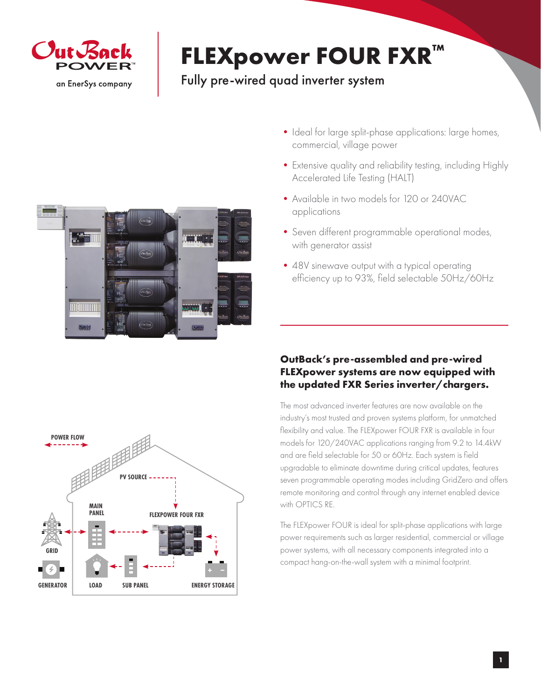

## **FLEXpower FOUR FXR™**

## Fully pre-wired quad inverter system



- Ideal for large split-phase applications: large homes, commercial, village power
- Extensive quality and reliability testing, including Highly Accelerated Life Testing (HALT)
- •Available in two models for 120 or 240VAC applications
- •Seven different programmable operational modes, with generator assist
- 48V sinewave output with a typical operating efficiency up to 93%, field selectable 50Hz/60Hz

## **OutBack's pre-assembled and pre-wired FLEXpower systems are now equipped with the updated FXR Series inverter/chargers.**

The most advanced inverter features are now available on the industry's most trusted and proven systems platform, for unmatched flexibility and value. The FLEXpower FOUR FXR is available in four models for 120/240VAC applications ranging from 9.2 to 14.4kW and are field selectable for 50 or 60Hz. Each system is field upgradable to eliminate downtime during critical updates, features seven programmable operating modes including GridZero and offers remote monitoring and control through any internet enabled device with OPTICS RE.

The FLEXpower FOUR is ideal for split-phase applications with large power requirements such as larger residential, commercial or village power systems, with all necessary components integrated into a compact hang-on-the-wall system with a minimal footprint.